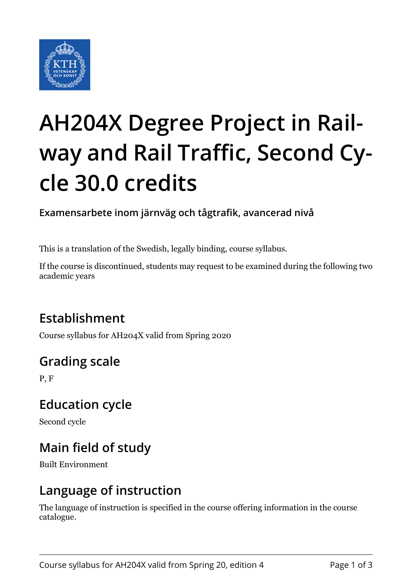

# **AH204X Degree Project in Railway and Rail Traffic, Second Cycle 30.0 credits**

**Examensarbete inom järnväg och tågtrafik, avancerad nivå**

This is a translation of the Swedish, legally binding, course syllabus.

If the course is discontinued, students may request to be examined during the following two academic years

# **Establishment**

Course syllabus for AH204X valid from Spring 2020

# **Grading scale**

P, F

## **Education cycle**

Second cycle

# **Main field of study**

Built Environment

## **Language of instruction**

The language of instruction is specified in the course offering information in the course catalogue.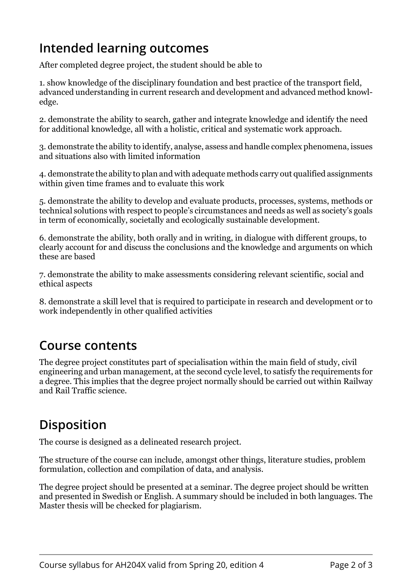## **Intended learning outcomes**

After completed degree project, the student should be able to

1. show knowledge of the disciplinary foundation and best practice of the transport field, advanced understanding in current research and development and advanced method knowledge.

2. demonstrate the ability to search, gather and integrate knowledge and identify the need for additional knowledge, all with a holistic, critical and systematic work approach.

3. demonstrate the ability to identify, analyse, assess and handle complex phenomena, issues and situations also with limited information

4. demonstrate the ability to plan and with adequate methods carry out qualified assignments within given time frames and to evaluate this work

5. demonstrate the ability to develop and evaluate products, processes, systems, methods or technical solutions with respect to people's circumstances and needs as well as society's goals in term of economically, societally and ecologically sustainable development.

6. demonstrate the ability, both orally and in writing, in dialogue with different groups, to clearly account for and discuss the conclusions and the knowledge and arguments on which these are based

7. demonstrate the ability to make assessments considering relevant scientific, social and ethical aspects

8. demonstrate a skill level that is required to participate in research and development or to work independently in other qualified activities

#### **Course contents**

The degree project constitutes part of specialisation within the main field of study, civil engineering and urban management, at the second cycle level, to satisfy the requirements for a degree. This implies that the degree project normally should be carried out within Railway and Rail Traffic science.

## **Disposition**

The course is designed as a delineated research project.

The structure of the course can include, amongst other things, literature studies, problem formulation, collection and compilation of data, and analysis.

The degree project should be presented at a seminar. The degree project should be written and presented in Swedish or English. A summary should be included in both languages. The Master thesis will be checked for plagiarism.